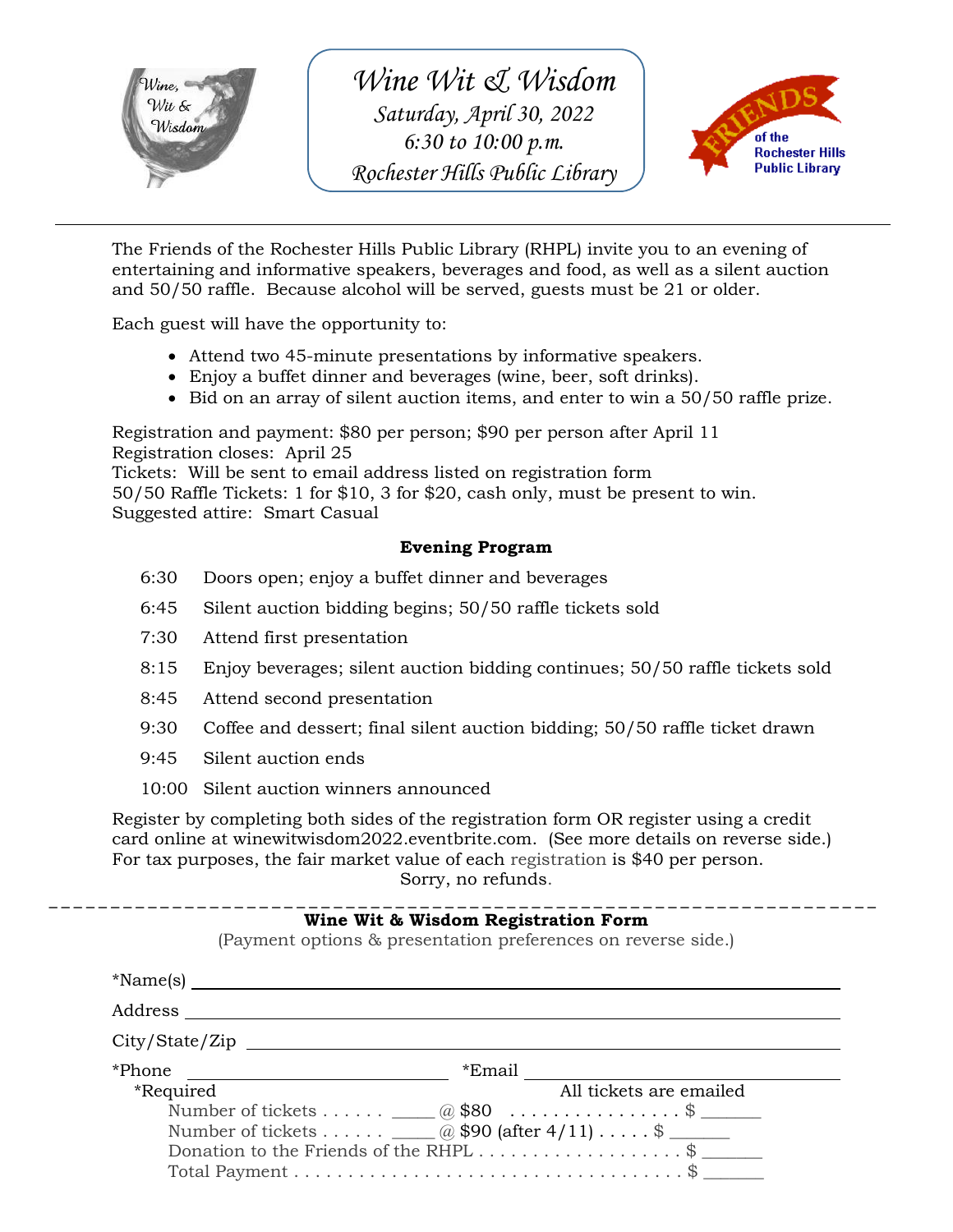

*Wine Wit & Wisdom Saturday, April 30, 2022 6:30 to 10:00 p.m. Rochester Hills Public Library*



The Friends of the Rochester Hills Public Library (RHPL) invite you to an evening of entertaining and informative speakers, beverages and food, as well as a silent auction and 50/50 raffle. Because alcohol will be served, guests must be 21 or older.

Each guest will have the opportunity to:

- Attend two 45-minute presentations by informative speakers.
- Enjoy a buffet dinner and beverages (wine, beer, soft drinks).
- $\bullet$  Bid on an array of silent auction items, and enter to win a 50/50 raffle prize.

Registration and payment: \$80 per person; \$90 per person after April 11 Registration closes: April 25

Tickets: Will be sent to email address listed on registration form 50/50 Raffle Tickets: 1 for \$10, 3 for \$20, cash only, must be present to win. Suggested attire: Smart Casual

#### **Evening Program**

- 6:30 Doors open; enjoy a buffet dinner and beverages
- 6:45 Silent auction bidding begins; 50/50 raffle tickets sold
- 7:30 Attend first presentation
- 8:15 Enjoy beverages; silent auction bidding continues; 50/50 raffle tickets sold
- 8:45 Attend second presentation
- 9:30 Coffee and dessert; final silent auction bidding; 50/50 raffle ticket drawn
- 9:45 Silent auction ends
- 10:00 Silent auction winners announced

Register by completing both sides of the registration form OR register using a credit card online at winewitwisdom2022.eventbrite.com. (See more details on reverse side.) For tax purposes, the fair market value of each registration is \$40 per person. Sorry, no refunds.

#### \_ \_ \_ \_ \_ \_ \_ \_ \_ \_ \_ \_ \_ \_ \_ \_ \_ \_ \_ \_ \_ \_ \_ \_ \_ \_ \_ \_ \_ \_ \_ \_ \_ \_ \_ \_ \_ \_ \_ \_ \_ \_ \_ \_ \_ \_ \_ \_ \_ \_ \_ \_ \_ \_ \_ \_ \_ \_ \_ \_ \_ \_ \_ \_ \_ \_ \_ **Wine Wit & Wisdom Registration Form**

(Payment options & presentation preferences on reverse side.)

| *Name(s) $\_\_$                                                               |                                                                                                                      |
|-------------------------------------------------------------------------------|----------------------------------------------------------------------------------------------------------------------|
| Address                                                                       |                                                                                                                      |
| City / State / Zip                                                            |                                                                                                                      |
| *Phone<br><i>*Required</i><br>Number of tickets $\Box$ @ \$90 (after 4/11) \$ | *Email<br>All tickets are emailed<br>Number of tickets $\qquad (a) \$80$ \$<br>Donation to the Friends of the RHPL\$ |